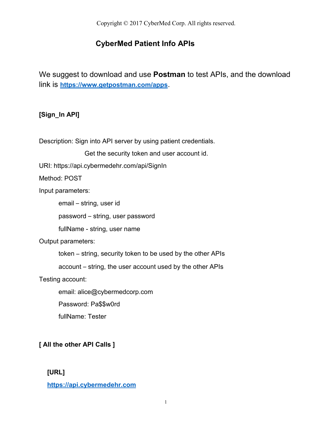## **CyberMed Patient Info APIs**

We suggest to download and use **Postman** to test APIs, and the download link is **<https://www.getpostman.com/apps>**.

## **[Sign\_In API]**

Description: Sign into API server by using patient credentials.

Get the security token and user account id.

URI: https://api.cybermedehr.com/api/SignIn

Method: POST

Input parameters:

email – string, user id

password – string, user password

fullName - string, user name

Output parameters:

token – string, security token to be used by the other APIs

account – string, the user account used by the other APIs

Testing account:

email: alice@cybermedcorp.com

Password: Pa\$\$w0rd

fullName: Tester

## **[ All the other API Calls ]**

## **[URL]**

**[https://api.cybermedehr.com](http://api.cybermedehr.com)**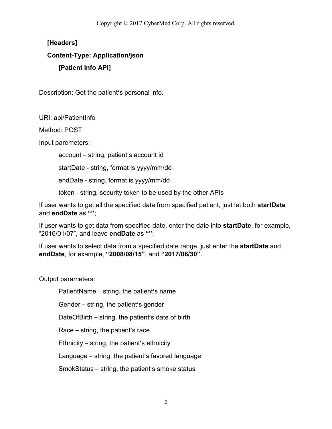## **[Headers]**

## **Content-Type: Application/json [Patient Info API]**

Description: Get the patient's personal info.

URI: api/PatientInfo

Method: POST

Input paremeters:

account – string, patient's account id

startDate - string, format is yyyy/mm/dd

endDate - string, format is yyyy/mm/dd

token - string, security token to be used by the other APIs

If user wants to get all the specified data from specified patient, just let both **startDate** and **endDate** as **""**;

If user wants to get data from specified date, enter the date into **startDate**, for example, "2016/01/07", and leave **endDate** as **""**;

If user wants to select data from a specified date range, just enter the **startDate** and **endDate**, for example, **"2008/08/15"**, and **"2017/06/30"**.

Output parameters:

PatientName – string, the patient's name

Gender – string, the patient's gender

DateOfBirth – string, the patient's date of birth

Race – string, the patient's race

Ethnicity – string, the patient's ethnicity

Language – string, the patient's favored language

SmokStatus – string, the patient's smoke status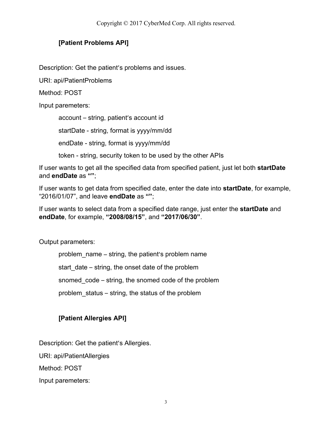## **[Patient Problems API]**

Description: Get the patient's problems and issues.

URI: api/PatientProblems

Method: POST

Input paremeters:

account – string, patient's account id startDate - string, format is yyyy/mm/dd endDate - string, format is yyyy/mm/dd token - string, security token to be used by the other APIs

If user wants to get all the specified data from specified patient, just let both **startDate** and **endDate** as **""**;

If user wants to get data from specified date, enter the date into **startDate**, for example, "2016/01/07", and leave **endDate** as **""**;

If user wants to select data from a specified date range, just enter the **startDate** and **endDate**, for example, **"2008/08/15"**, and **"2017/06/30"**.

Output parameters:

problem\_name – string, the patient's problem name

start date – string, the onset date of the problem

snomed code – string, the snomed code of the problem

problem\_status – string, the status of the problem

## **[Patient Allergies API]**

Description: Get the patient's Allergies.

URI: api/PatientAllergies

Method: POST

Input paremeters: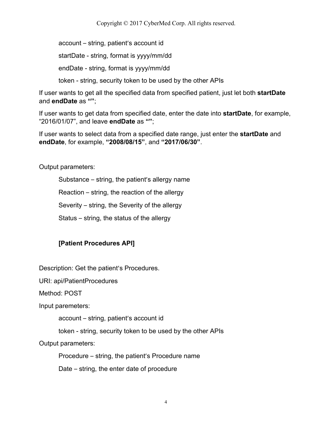account – string, patient's account id

startDate - string, format is yyyy/mm/dd

endDate - string, format is yyyy/mm/dd

token - string, security token to be used by the other APIs

If user wants to get all the specified data from specified patient, just let both **startDate** and **endDate** as **""**;

If user wants to get data from specified date, enter the date into **startDate**, for example, "2016/01/07", and leave **endDate** as **""**;

If user wants to select data from a specified date range, just enter the **startDate** and **endDate**, for example, **"2008/08/15"**, and **"2017/06/30"**.

Output parameters:

Substance – string, the patient's allergy name

Reaction – string, the reaction of the allergy

Severity – string, the Severity of the allergy

Status – string, the status of the allergy

## **[Patient Procedures API]**

Description: Get the patient's Procedures.

URI: api/PatientProcedures

Method: POST

Input paremeters:

account – string, patient's account id

token - string, security token to be used by the other APIs

Output parameters:

Procedure – string, the patient's Procedure name

Date – string, the enter date of procedure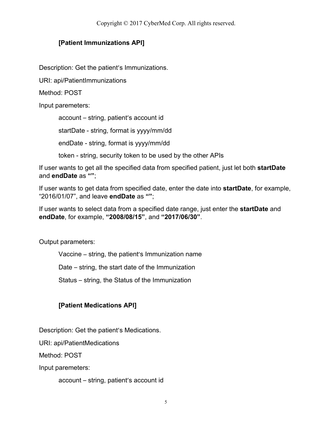## **[Patient Immunizations API]**

Description: Get the patient's Immunizations.

URI: api/PatientImmunizations

Method: POST

Input paremeters:

account – string, patient's account id startDate - string, format is yyyy/mm/dd endDate - string, format is yyyy/mm/dd token - string, security token to be used by the other APIs

If user wants to get all the specified data from specified patient, just let both **startDate** and **endDate** as **""**;

If user wants to get data from specified date, enter the date into **startDate**, for example, "2016/01/07", and leave **endDate** as **""**;

If user wants to select data from a specified date range, just enter the **startDate** and **endDate**, for example, **"2008/08/15"**, and **"2017/06/30"**.

Output parameters:

Vaccine – string, the patient's Immunization name

Date – string, the start date of the Immunization

Status – string, the Status of the Immunization

## **[Patient Medications API]**

Description: Get the patient's Medications.

URI: api/PatientMedications

Method: POST

Input paremeters:

account – string, patient's account id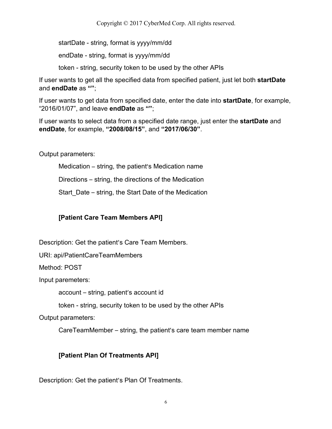startDate - string, format is yyyy/mm/dd

endDate - string, format is yyyy/mm/dd

token - string, security token to be used by the other APIs

If user wants to get all the specified data from specified patient, just let both **startDate** and **endDate** as **""**;

If user wants to get data from specified date, enter the date into **startDate**, for example, "2016/01/07", and leave **endDate** as **""**;

If user wants to select data from a specified date range, just enter the **startDate** and **endDate**, for example, **"2008/08/15"**, and **"2017/06/30"**.

Output parameters:

Medication – string, the patient's Medication name

Directions – string, the directions of the Medication

Start\_Date – string, the Start Date of the Medication

## **[Patient Care Team Members API]**

Description: Get the patient's Care Team Members.

URI: api/PatientCareTeamMembers

Method: POST

Input paremeters:

account – string, patient's account id

token - string, security token to be used by the other APIs

Output parameters:

CareTeamMember – string, the patient's care team member name

## **[Patient Plan Of Treatments API]**

Description: Get the patient's Plan Of Treatments.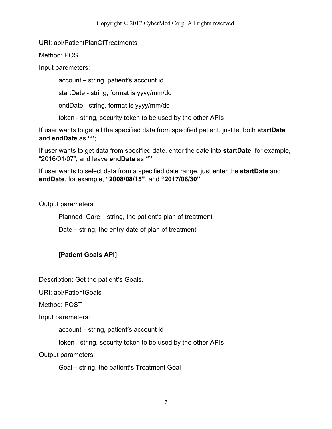#### URI: api/PatientPlanOfTreatments

Method: POST

Input paremeters:

account – string, patient's account id

startDate - string, format is yyyy/mm/dd

endDate - string, format is yyyy/mm/dd

token - string, security token to be used by the other APIs

If user wants to get all the specified data from specified patient, just let both **startDate** and **endDate** as **""**;

If user wants to get data from specified date, enter the date into **startDate**, for example, "2016/01/07", and leave **endDate** as **""**;

If user wants to select data from a specified date range, just enter the **startDate** and **endDate**, for example, **"2008/08/15"**, and **"2017/06/30"**.

Output parameters:

Planned\_Care – string, the patient's plan of treatment

Date – string, the entry date of plan of treatment

## **[Patient Goals API]**

Description: Get the patient's Goals.

URI: api/PatientGoals

Method: POST

Input paremeters:

account – string, patient's account id

token - string, security token to be used by the other APIs

Output parameters:

Goal – string, the patient's Treatment Goal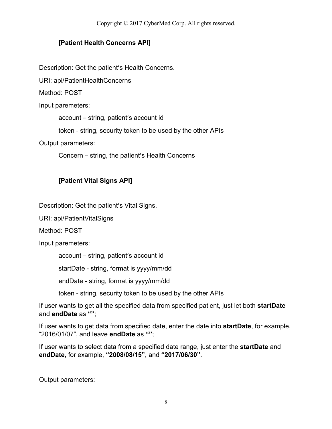## **[Patient Health Concerns API]**

Description: Get the patient's Health Concerns.

URI: api/PatientHealthConcerns

Method: POST

Input paremeters:

account – string, patient's account id

token - string, security token to be used by the other APIs

Output parameters:

Concern – string, the patient's Health Concerns

## **[Patient Vital Signs API]**

Description: Get the patient's Vital Signs.

URI: api/PatientVitalSigns

Method: POST

Input paremeters:

account – string, patient's account id

startDate - string, format is yyyy/mm/dd

endDate - string, format is yyyy/mm/dd

token - string, security token to be used by the other APIs

If user wants to get all the specified data from specified patient, just let both **startDate** and **endDate** as **""**;

If user wants to get data from specified date, enter the date into **startDate**, for example, "2016/01/07", and leave **endDate** as **""**;

If user wants to select data from a specified date range, just enter the **startDate** and **endDate**, for example, **"2008/08/15"**, and **"2017/06/30"**.

Output parameters: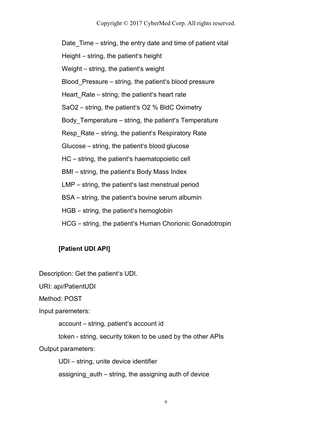Date Time – string, the entry date and time of patient vital

Height – string, the patient's height

Weight – string, the patient's weight

Blood\_Pressure – string, the patient's blood pressure

Heart Rate – string, the patient's heart rate

SaO2 – string, the patient's O2 % BldC Oximetry

Body Temperature – string, the patient's Temperature

Resp\_Rate – string, the patient's Respiratory Rate

Glucose – string, the patient's blood glucose

HC – string, the patient's haematopoietic cell

BMI – string, the patient's Body Mass Index

LMP – string, the patient's last menstrual period

BSA – string, the patient's bovine serum [albumin](http://medical-dictionary.thefreedictionary.com/bovine+serum+albumin)

HGB – string, the patient's hemoglobin

HCG – string, the patient's Human Chorionic Gonadotropin

#### **[Patient UDI API]**

Description: Get the patient's UDI.

URI: api/PatientUDI

Method: POST

Input paremeters:

account – string, patient's account id

token - string, security token to be used by the other APIs

Output parameters:

UDI – string, unite device identifier

assigning\_auth – string, the assigning auth of device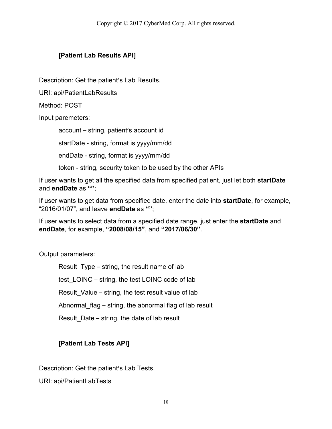## **[Patient Lab Results API]**

Description: Get the patient's Lab Results.

URI: api/PatientLabResults

Method: POST

Input paremeters:

account – string, patient's account id

startDate - string, format is yyyy/mm/dd

endDate - string, format is yyyy/mm/dd

token - string, security token to be used by the other APIs

If user wants to get all the specified data from specified patient, just let both **startDate** and **endDate** as **""**;

If user wants to get data from specified date, enter the date into **startDate**, for example, "2016/01/07", and leave **endDate** as **""**;

If user wants to select data from a specified date range, just enter the **startDate** and **endDate**, for example, **"2008/08/15"**, and **"2017/06/30"**.

Output parameters:

Result Type – string, the result name of lab test\_LOINC – string, the test LOINC code of lab Result Value – string, the test result value of lab Abnormal flag – string, the abnormal flag of lab result Result\_Date – string, the date of lab result

## **[Patient Lab Tests API]**

Description: Get the patient's Lab Tests.

URI: api/PatientLabTests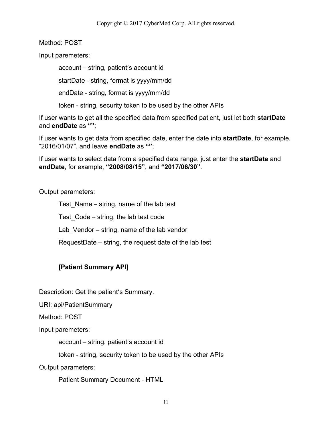Method: POST

Input paremeters:

account – string, patient's account id

startDate - string, format is yyyy/mm/dd

endDate - string, format is yyyy/mm/dd

token - string, security token to be used by the other APIs

If user wants to get all the specified data from specified patient, just let both **startDate** and **endDate** as **""**;

If user wants to get data from specified date, enter the date into **startDate**, for example, "2016/01/07", and leave **endDate** as **""**;

If user wants to select data from a specified date range, just enter the **startDate** and **endDate**, for example, **"2008/08/15"**, and **"2017/06/30"**.

Output parameters:

Test Name – string, name of the lab test Test\_Code – string, the lab test code Lab Vendor – string, name of the lab vendor RequestDate – string, the request date of the lab test

## **[Patient Summary API]**

Description: Get the patient's Summary.

URI: api/PatientSummary

Method: POST

Input paremeters:

account – string, patient's account id

token - string, security token to be used by the other APIs

Output parameters:

Patient Summary Document - HTML